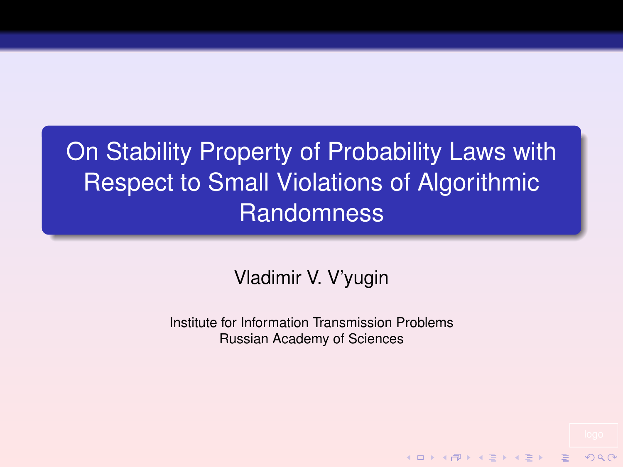On Stability Property of Probability Laws with Respect to Small Violations of Algorithmic **Randomness** 

## Vladimir V. V'yugin

Institute for Information Transmission Problems Russian Academy of Sciences

**KOD KAD KED KED E VOOR**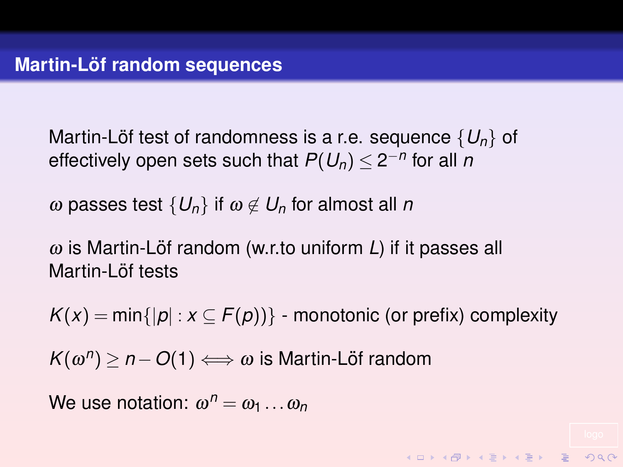Martin-Löf test of randomness is a r.e. sequence  $\{U_n\}$  of effectively open sets such that  $P(U_n) \leq 2^{-n}$  for all  $n$ 

ω passes test  $\{U_n\}$  if  $ω \notin U_n$  for almost all *n* 

 $\omega$  is Martin-Löf random (w.r.to uniform L) if it passes all Martin-Löf tests

 $K(x) = min\{|p| : x \subseteq F(p)\}\$  - monotonic (or prefix) complexity

**KORKAR KERKER E VOOR** 

 $K(\omega^n) \geq n - O(1) \Longleftrightarrow \omega$  is Martin-Löf random

We use notation:  $\omega^n = \omega_1 \dots \omega_n$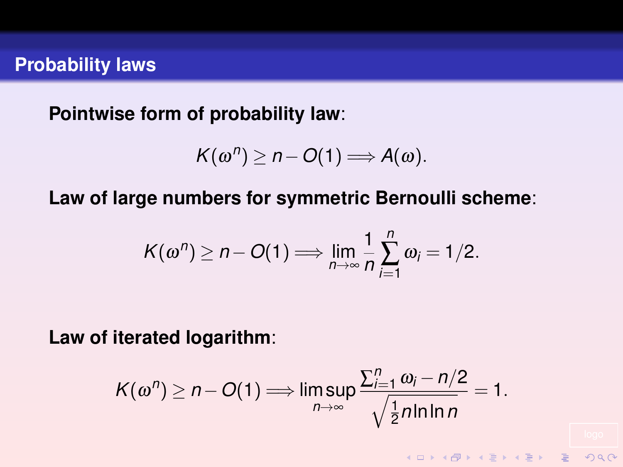**Pointwise form of probability law**:

$$
K(\omega^n) \geq n - O(1) \Longrightarrow A(\omega).
$$

**Law of large numbers for symmetric Bernoulli scheme**:

$$
K(\omega^n) \geq n - O(1) \Longrightarrow \lim_{n \to \infty} \frac{1}{n} \sum_{i=1}^n \omega_i = 1/2.
$$

**Law of iterated logarithm**:

$$
K(\omega^n) \geq n - O(1) \Longrightarrow \limsup_{n \to \infty} \frac{\sum_{i=1}^n \omega_i - n/2}{\sqrt{\frac{1}{2}n \ln \ln n}} = 1.
$$

**KOD KAD KED KED E VAN**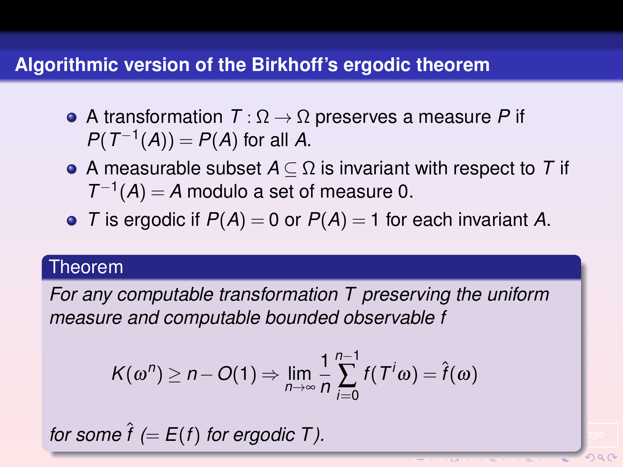## **Algorithmic version of the Birkhoff's ergodic theorem**

- A transformation *T* : Ω → Ω preserves a measure *P* if  $P(T^{-1}(A)) = P(A)$  for all *A*.
- A measurable subset *A* ⊆ Ω is invariant with respect to *T* if  $T^{-1}(A) = A$  modulo a set of measure 0.
- *T* is ergodic if  $P(A) = 0$  or  $P(A) = 1$  for each invariant *A*.

### Theorem

*For any computable transformation T preserving the uniform measure and computable bounded observable f*

$$
K(\omega^n) \geq n - O(1) \Rightarrow \lim_{n \to \infty} \frac{1}{n} \sum_{i=0}^{n-1} f(T^i \omega) = \hat{f}(\omega)
$$

*for some*  $\hat{f}$  (=  $E(f)$  *for ergodic T*).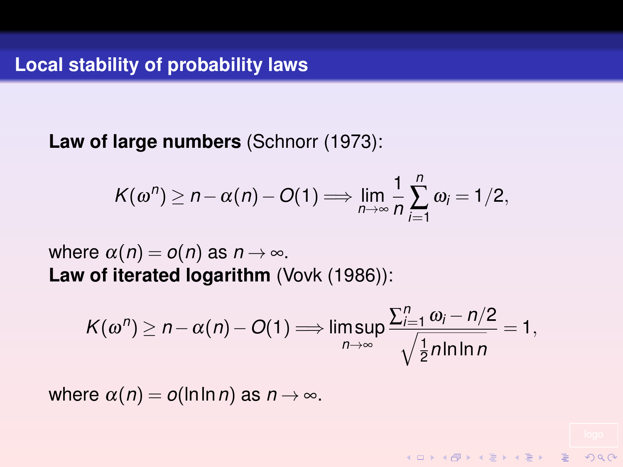**Law of large numbers** (Schnorr (1973):

$$
K(\omega^n) \geq n - \alpha(n) - O(1) \Longrightarrow \lim_{n \to \infty} \frac{1}{n} \sum_{i=1}^n \omega_i = 1/2,
$$

where  $\alpha(n) = o(n)$  as  $n \to \infty$ . **Law of iterated logarithm** (Vovk (1986)):

$$
K(\omega^n) \geq n - \alpha(n) - O(1) \Longrightarrow \limsup_{n \to \infty} \frac{\sum_{i=1}^n \omega_i - n/2}{\sqrt{\frac{1}{2}n \ln \ln n}} = 1,
$$

KID KARD KID KID X I A DAQ

where  $\alpha(n) = o(\ln \ln n)$  as  $n \to \infty$ .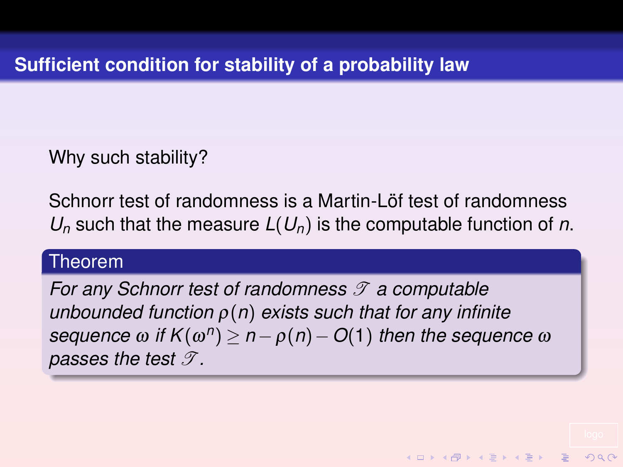Why such stability?

Schnorr test of randomness is a Martin-Löf test of randomness *U<sup>n</sup>* such that the measure *L*(*Un*) is the computable function of *n*.

## Theorem

*For any Schnorr test of randomness*  $\mathscr T$  *a computable unbounded function* ρ(*n*) *exists such that for any infinite*  $\mathsf{sequence}~ \omega ~\mathsf{if}~ \mathsf{K}(\omega^n) \geq n - \rho(n) - O(1) \text{ then the sequence } \omega$ *passes the test*  $\mathscr{T}$ *.* 

**KORKAR KERKER DRA**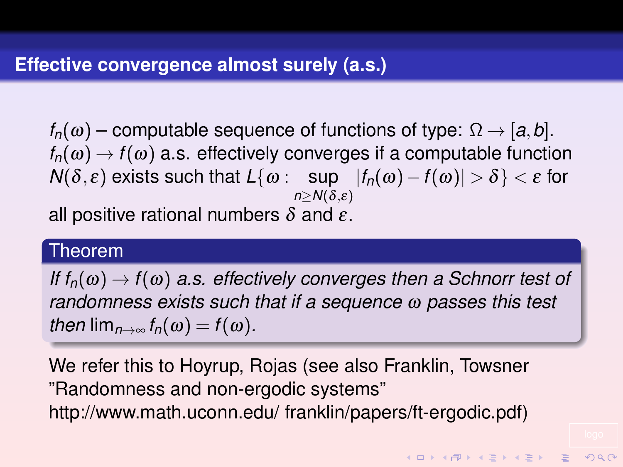$f_n(\omega)$  – computable sequence of functions of type:  $\Omega \rightarrow [a, b]$ .  $f_n(\omega) \rightarrow f(\omega)$  a.s. effectively converges if a computable function  $N(δ, ε)$  exists such that  $L{ω:$   $sup$   $|f_n(ω) - f(ω)| > δ} < ε$  for  $n \geq N(\delta, \varepsilon)$ 

all positive rational numbers  $\delta$  and  $\varepsilon$ .

### Theorem

*If*  $f_n(\omega) \rightarrow f(\omega)$  *a.s. effectively converges then a Schnorr test of randomness exists such that if a sequence* ω *passes this test then*  $\lim_{n\to\infty} f_n(\omega) = f(\omega)$ .

We refer this to Hoyrup, Rojas (see also Franklin, Towsner "Randomness and non-ergodic systems" http://www.math.uconn.edu/ franklin/papers/ft-ergodic.pdf)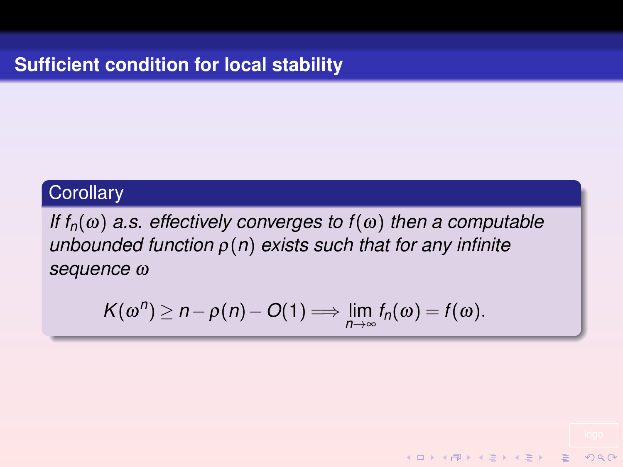## **Corollary**

*If*  $f_n(\omega)$  *a.s.* effectively converges to  $f(\omega)$  then a computable *unbounded function* ρ(*n*) *exists such that for any infinite sequence* ω

$$
K(\omega^n) \geq n - \rho(n) - O(1) \Longrightarrow \lim_{n \to \infty} f_n(\omega) = f(\omega).
$$

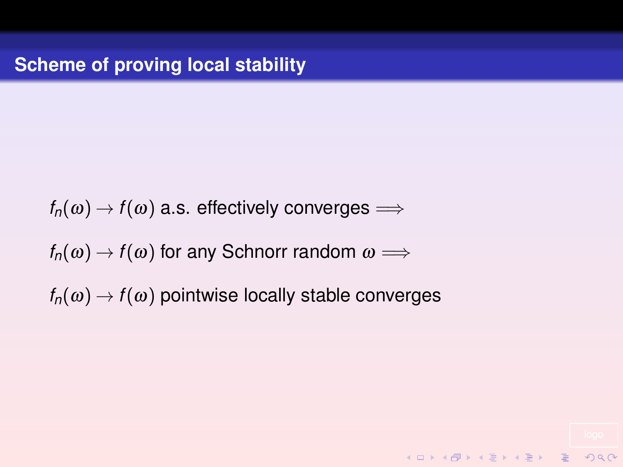$f_n(\omega) \rightarrow f(\omega)$  a.s. effectively converges  $\Longrightarrow$  $f_n(\omega) \rightarrow f(\omega)$  for any Schnorr random  $\omega \Longrightarrow$  $f_n(\omega) \rightarrow f(\omega)$  pointwise locally stable converges

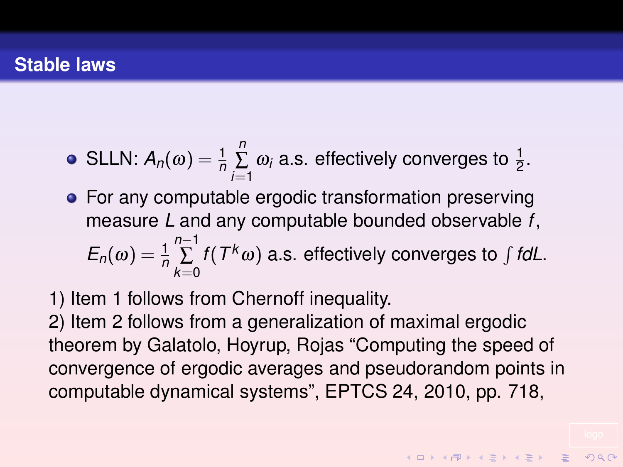• SLLN: 
$$
A_n(\omega) = \frac{1}{n} \sum_{i=1}^n \omega_i
$$
 a.s. effectively converges to  $\frac{1}{2}$ .

- For any computable ergodic transformation preserving measure *L* and any computable bounded observable *f*,  $E_n(\omega) = \frac{1}{n}$ *n*−1 ∑ *k*=0 *f*( $T^k\omega$ ) a.s. effectively converges to  $\int f dL$ .
- 1) Item 1 follows from Chernoff inequality.

2) Item 2 follows from a generalization of maximal ergodic theorem by Galatolo, Hoyrup, Rojas "Computing the speed of convergence of ergodic averages and pseudorandom points in computable dynamical systems", EPTCS 24, 2010, pp. 718,

KID KA KERKER E DAG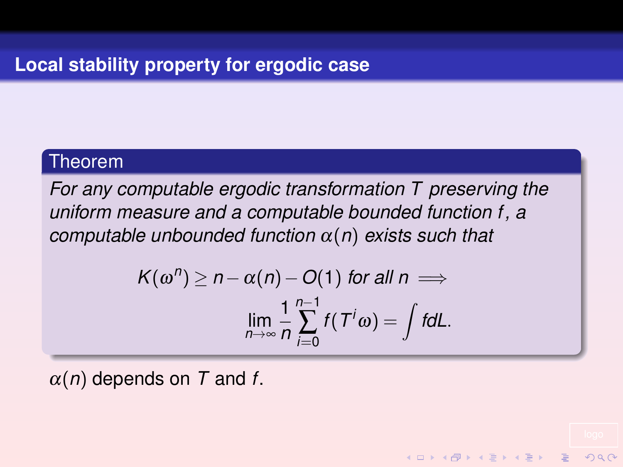## Theorem

*For any computable ergodic transformation T preserving the uniform measure and a computable bounded function f, a computable unbounded function* α(*n*) *exists such that*

$$
K(\omega^n) \ge n - \alpha(n) - O(1) \text{ for all } n \implies
$$
  

$$
\lim_{n \to \infty} \frac{1}{n} \sum_{i=0}^{n-1} f(T^i \omega) = \int f dL.
$$

 $\mathbf{E} = \mathbf{A} \oplus \mathbf{A} + \mathbf{A} \oplus \mathbf{A} + \mathbf{A} \oplus \mathbf{A} + \mathbf{A} \oplus \mathbf{A}$ 

 $000$ 

 $\alpha(n)$  depends on T and f.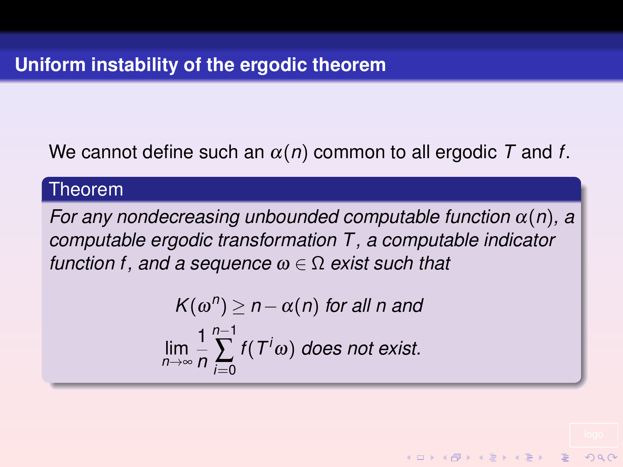# We cannot define such an α(*n*) common to all ergodic *T* and *f*.

### Theorem

*For any nondecreasing unbounded computable function* α(*n*)*, a computable ergodic transformation T , a computable indicator function f, and a sequence* ω ∈ Ω *exist such that*

$$
K(\omega^n) \ge n - \alpha(n) \text{ for all } n \text{ and}
$$
  

$$
\lim_{n \to \infty} \frac{1}{n} \sum_{i=0}^{n-1} f(T^i \omega) \text{ does not exist.}
$$

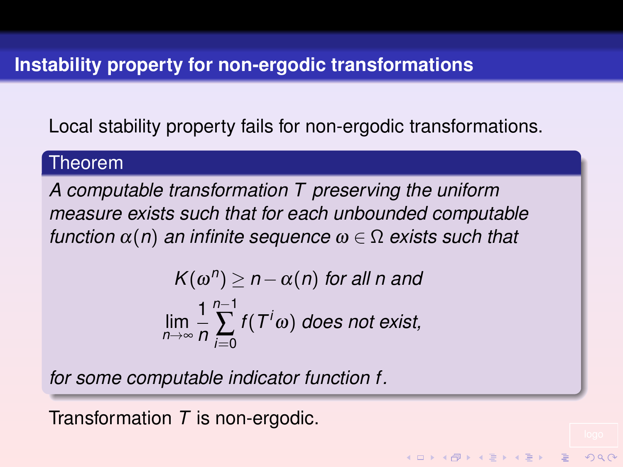Local stability property fails for non-ergodic transformations.

## Theorem

*A computable transformation T preserving the uniform measure exists such that for each unbounded computable function*  $\alpha(n)$  *an infinite sequence*  $\omega \in \Omega$  *exists such that* 

$$
K(\omega^n) \ge n - \alpha(n) \text{ for all } n \text{ and}
$$
  

$$
\lim_{n \to \infty} \frac{1}{n} \sum_{i=0}^{n-1} f(T^i \omega) \text{ does not exist,}
$$

**KOD KAD KED KED E VOOR** 

*for some computable indicator function f.*

Transformation *T* is non-ergodic.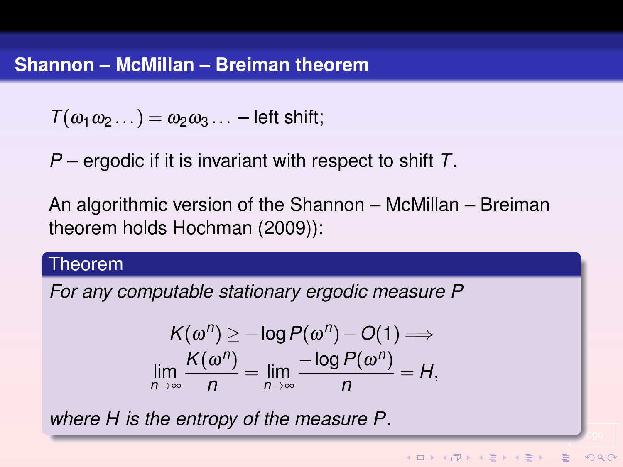$T(\omega_1\omega_2\ldots) = \omega_2\omega_3\ldots$  – left shift;

*P* – ergodic if it is invariant with respect to shift *T*.

An algorithmic version of the Shannon – McMillan – Breiman theorem holds Hochman (2009)):

### Theorem

*For any computable stationary ergodic measure P*

$$
K(\omega^n) \geq -\log P(\omega^n) - O(1) \Longrightarrow
$$
  
\n
$$
\lim_{n \to \infty} \frac{K(\omega^n)}{n} = \lim_{n \to \infty} \frac{-\log P(\omega^n)}{n} = H,
$$

logo

 $2990$ 

*where H is the entropy of the measure P.*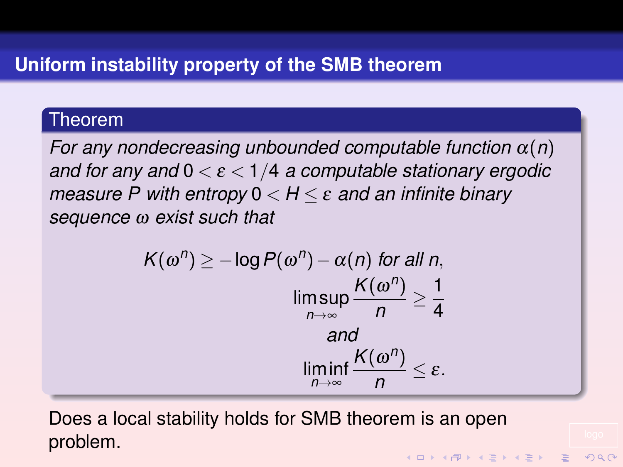# Theorem

*For any nondecreasing unbounded computable function* α(*n*) *and for any and* 0 < ε < 1/4 *a computable stationary ergodic measure P with entropy* 0 < *H* ≤ ε *and an infinite binary sequence* ω *exist such that*

$$
K(\omega^n) \ge -\log P(\omega^n) - \alpha(n) \text{ for all } n,
$$
  

$$
\limsup_{n \to \infty} \frac{K(\omega^n)}{n} \ge \frac{1}{4}
$$
  
and  

$$
\liminf_{n \to \infty} \frac{K(\omega^n)}{n} \le \varepsilon.
$$

Does a local stability holds for SMB theorem is an open problem.

 $2990$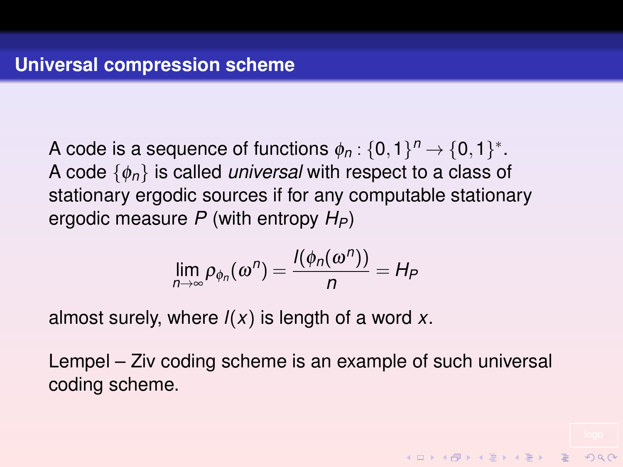A code is a sequence of functions  $\phi_n: \{0,1\}^n \rightarrow \{0,1\}^*.$ A code {φ*n*} is called *universal* with respect to a class of stationary ergodic sources if for any computable stationary ergodic measure *P* (with entropy  $H_P$ )

$$
\lim_{n\to\infty}\rho_{\phi_n}(\omega^n)=\frac{l(\phi_n(\omega^n))}{n}=H_P
$$

almost surely, where *l*(*x*) is length of a word *x*.

Lempel – Ziv coding scheme is an example of such universal coding scheme.

**KORKAR KERKER E VOOR**